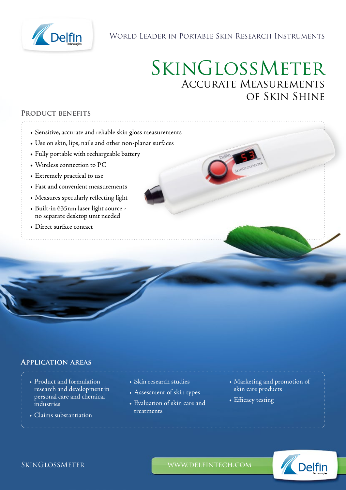

## World Leader in Portable Skin Research Instruments

# SkinGlossMeter Accurate Measurements of Skin Shine

#### **Product benefits**

- Sensitive, accurate and reliable skin gloss measurements
- Use on skin, lips, nails and other non-planar surfaces
- Fully portable with rechargeable battery
- Wireless connection to PC
- Extremely practical to use
- Fast and convenient measurements
- Measures specularly reflecting light
- Built-in 635nm laser light source no separate desktop unit needed
- Direct surface contact

## **Application areas**

- Product and formulation research and development in personal care and chemical industries
- Claims substantiation
- Skin research studies
- Assessment of skin types
- Evaluation of skin care and treatments
- Marketing and promotion of skin care products
- Efficacy testing



SKINGLOSSMETER WWW.DELFINTECH.COM